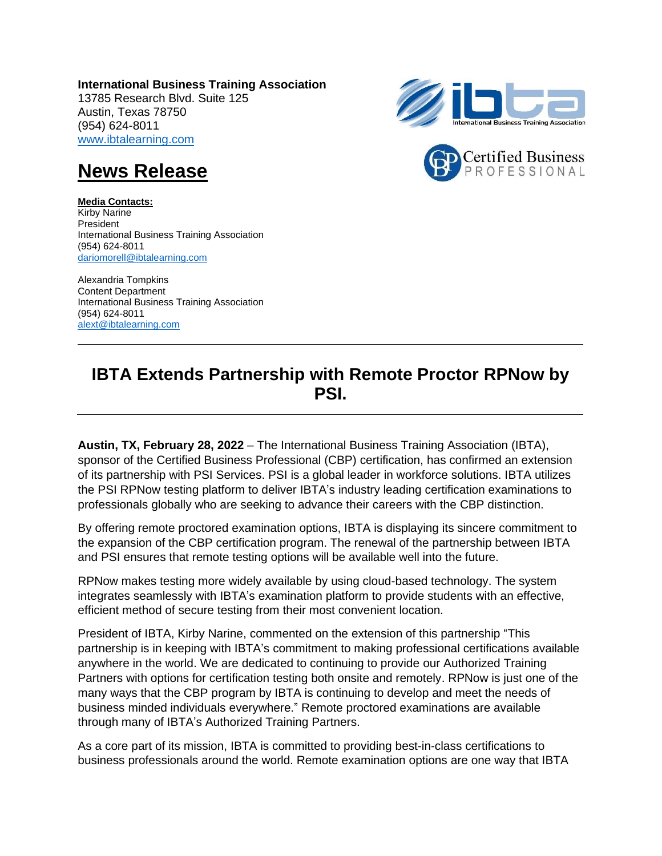**International Business Training Association**  13785 Research Blvd. Suite 125 Austin, Texas 78750 (954) 624-8011 [www.ibtalearning.com](http://www.ibtalearning.com/)





## **News Release**

**Media Contacts:** Kirby Narine President International Business Training Association (954) 624-8011 [dariomorell@ibtalearning.com](mailto:dariomorell@ibtalearning.com)

Alexandria Tompkins Content Department International Business Training Association (954) 624-8011 alext@ibtalearning.com

## **IBTA Extends Partnership with Remote Proctor RPNow by PSI.**

**Austin, TX, February 28, 2022** – The International Business Training Association (IBTA), sponsor of the Certified Business Professional (CBP) certification, has confirmed an extension of its partnership with PSI Services. PSI is a global leader in workforce solutions. IBTA utilizes the PSI RPNow testing platform to deliver IBTA's industry leading certification examinations to professionals globally who are seeking to advance their careers with the CBP distinction.

By offering remote proctored examination options, IBTA is displaying its sincere commitment to the expansion of the CBP certification program. The renewal of the partnership between IBTA and PSI ensures that remote testing options will be available well into the future.

RPNow makes testing more widely available by using cloud-based technology. The system integrates seamlessly with IBTA's examination platform to provide students with an effective, efficient method of secure testing from their most convenient location.

President of IBTA, Kirby Narine, commented on the extension of this partnership "This partnership is in keeping with IBTA's commitment to making professional certifications available anywhere in the world. We are dedicated to continuing to provide our Authorized Training Partners with options for certification testing both onsite and remotely. RPNow is just one of the many ways that the CBP program by IBTA is continuing to develop and meet the needs of business minded individuals everywhere." Remote proctored examinations are available through many of IBTA's Authorized Training Partners.

As a core part of its mission, IBTA is committed to providing best-in-class certifications to business professionals around the world. Remote examination options are one way that IBTA